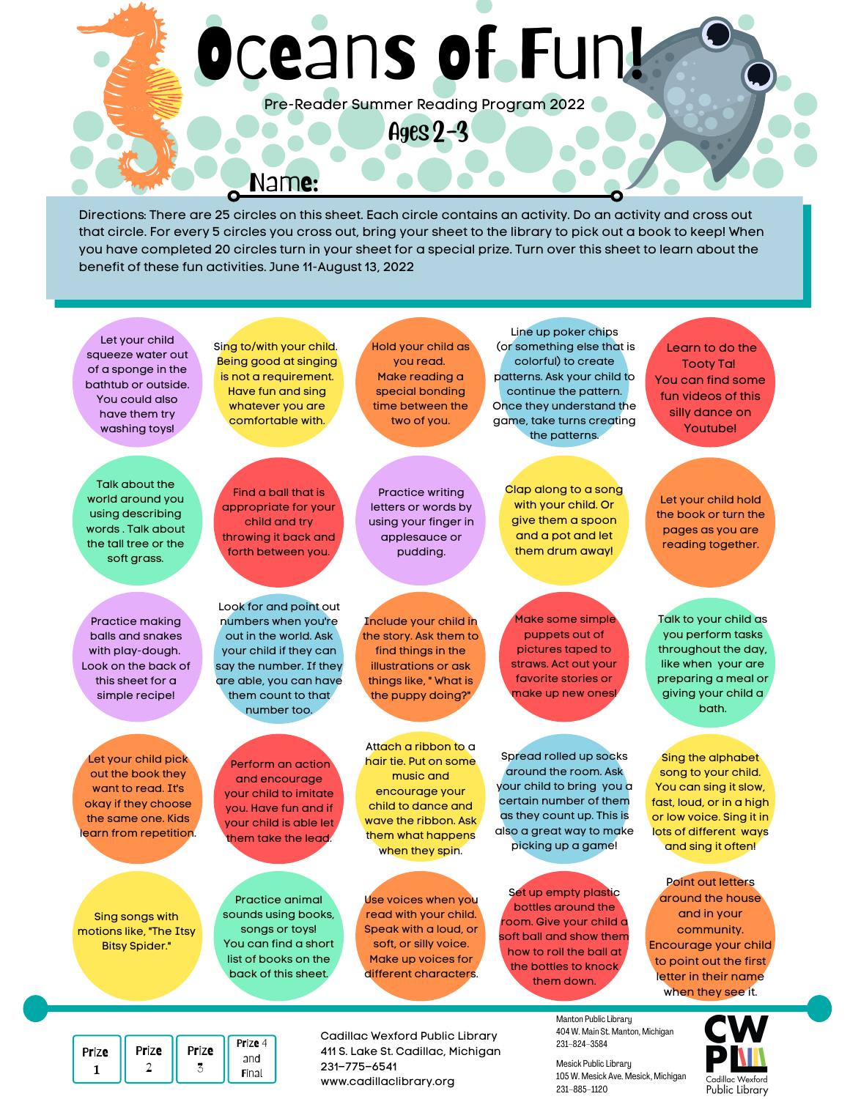# Oceans of Fun!

Pre-Reader Summer Reading Program 2022

Ages 2-3

Name:

Directions: There are 25 circles on this sheet. Each circle contains an activity. Do an activity and cross out that circle. For every 5 circles you cross out, bring your sheet to the library to pick out a book to keep! When you have completed 20 circles turn in your sheet for a special prize. Turn over this sheet to learn about the benefit of these fun activities. June 11-August 13, 2022



www.cadillaclibrary.org

Final

105 W. Mesick Ave. Mesick, Michigan 231–885–1120

Cadillac Wexford Public Library